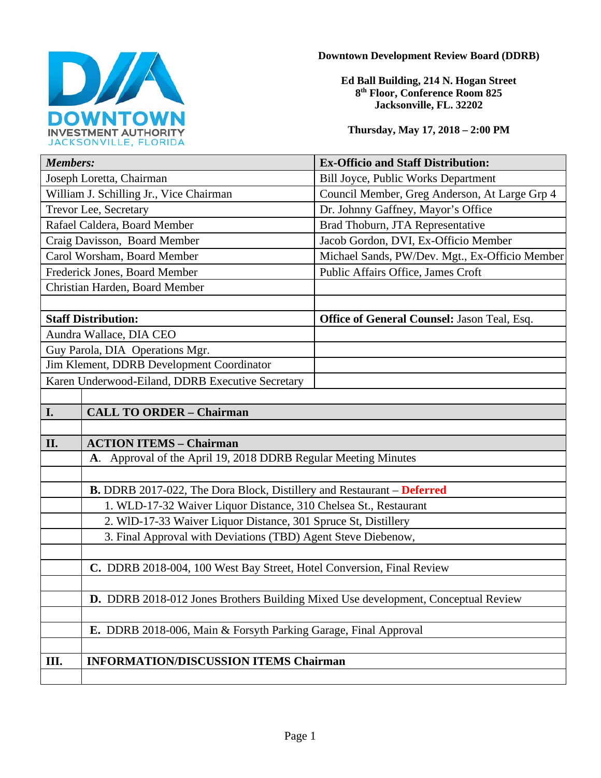

### **Downtown Development Review Board (DDRB)**

**Ed Ball Building, 214 N. Hogan Street 8th Floor, Conference Room 825 Jacksonville, FL. 32202** 

**Thursday, May 17, 2018 – 2:00 PM**

| <b>Members:</b>                                  |                                                                                   | <b>Ex-Officio and Staff Distribution:</b>      |
|--------------------------------------------------|-----------------------------------------------------------------------------------|------------------------------------------------|
| Joseph Loretta, Chairman                         |                                                                                   | Bill Joyce, Public Works Department            |
| William J. Schilling Jr., Vice Chairman          |                                                                                   | Council Member, Greg Anderson, At Large Grp 4  |
| Trevor Lee, Secretary                            |                                                                                   | Dr. Johnny Gaffney, Mayor's Office             |
| Rafael Caldera, Board Member                     |                                                                                   | Brad Thoburn, JTA Representative               |
| Craig Davisson, Board Member                     |                                                                                   | Jacob Gordon, DVI, Ex-Officio Member           |
| Carol Worsham, Board Member                      |                                                                                   | Michael Sands, PW/Dev. Mgt., Ex-Officio Member |
| Frederick Jones, Board Member                    |                                                                                   | Public Affairs Office, James Croft             |
| Christian Harden, Board Member                   |                                                                                   |                                                |
|                                                  |                                                                                   |                                                |
| <b>Staff Distribution:</b>                       |                                                                                   | Office of General Counsel: Jason Teal, Esq.    |
| Aundra Wallace, DIA CEO                          |                                                                                   |                                                |
| Guy Parola, DIA Operations Mgr.                  |                                                                                   |                                                |
| Jim Klement, DDRB Development Coordinator        |                                                                                   |                                                |
| Karen Underwood-Eiland, DDRB Executive Secretary |                                                                                   |                                                |
|                                                  |                                                                                   |                                                |
| I.                                               | <b>CALL TO ORDER - Chairman</b>                                                   |                                                |
|                                                  |                                                                                   |                                                |
| II.                                              | <b>ACTION ITEMS - Chairman</b>                                                    |                                                |
|                                                  | A. Approval of the April 19, 2018 DDRB Regular Meeting Minutes                    |                                                |
|                                                  |                                                                                   |                                                |
|                                                  | <b>B.</b> DDRB 2017-022, The Dora Block, Distillery and Restaurant – Deferred     |                                                |
|                                                  | 1. WLD-17-32 Waiver Liquor Distance, 310 Chelsea St., Restaurant                  |                                                |
|                                                  | 2. WID-17-33 Waiver Liquor Distance, 301 Spruce St, Distillery                    |                                                |
|                                                  | 3. Final Approval with Deviations (TBD) Agent Steve Diebenow,                     |                                                |
|                                                  |                                                                                   |                                                |
|                                                  | C. DDRB 2018-004, 100 West Bay Street, Hotel Conversion, Final Review             |                                                |
|                                                  |                                                                                   |                                                |
|                                                  | D. DDRB 2018-012 Jones Brothers Building Mixed Use development, Conceptual Review |                                                |
|                                                  |                                                                                   |                                                |
|                                                  | E. DDRB 2018-006, Main & Forsyth Parking Garage, Final Approval                   |                                                |
|                                                  |                                                                                   |                                                |
| III.                                             | <b>INFORMATION/DISCUSSION ITEMS Chairman</b>                                      |                                                |
|                                                  |                                                                                   |                                                |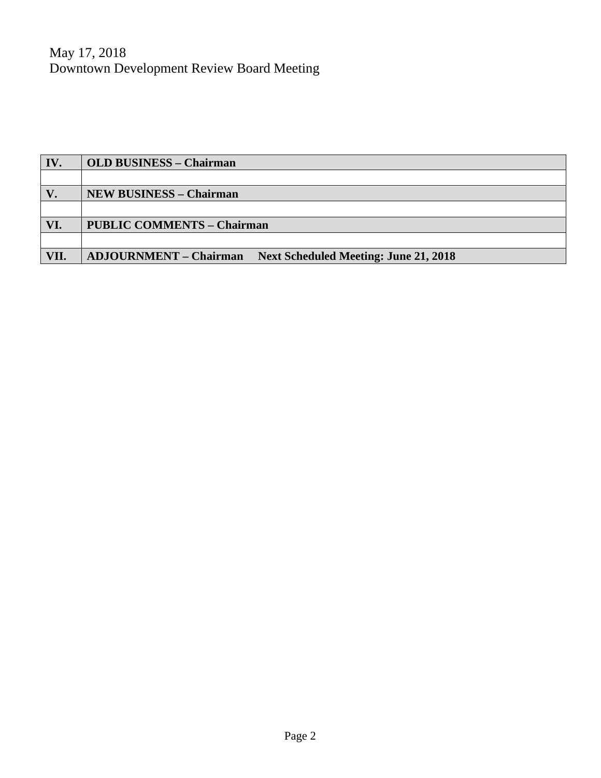May 17, 2018 Downtown Development Review Board Meeting

| IV.  | <b>OLD BUSINESS - Chairman</b>                                                |  |
|------|-------------------------------------------------------------------------------|--|
|      |                                                                               |  |
| V.   | <b>NEW BUSINESS - Chairman</b>                                                |  |
|      |                                                                               |  |
| VI.  | <b>PUBLIC COMMENTS - Chairman</b>                                             |  |
|      |                                                                               |  |
| VII. | <b>ADJOURNMENT – Chairman</b><br><b>Next Scheduled Meeting: June 21, 2018</b> |  |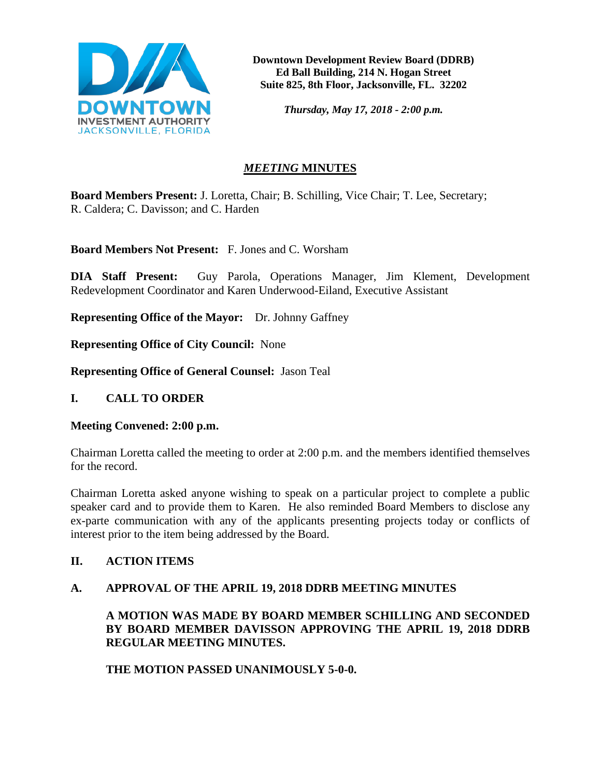

**Downtown Development Review Board (DDRB) Ed Ball Building, 214 N. Hogan Street Suite 825, 8th Floor, Jacksonville, FL. 32202**

*Thursday, May 17, 2018 - 2:00 p.m.*

# *MEETING* **MINUTES**

**Board Members Present:** J. Loretta, Chair; B. Schilling, Vice Chair; T. Lee, Secretary; R. Caldera; C. Davisson; and C. Harden

**Board Members Not Present:** F. Jones and C. Worsham

**DIA Staff Present:** Guy Parola, Operations Manager, Jim Klement, Development Redevelopment Coordinator and Karen Underwood-Eiland, Executive Assistant

**Representing Office of the Mayor:** Dr. Johnny Gaffney

**Representing Office of City Council:** None

**Representing Office of General Counsel:** Jason Teal

## **I. CALL TO ORDER**

#### **Meeting Convened: 2:00 p.m.**

Chairman Loretta called the meeting to order at 2:00 p.m. and the members identified themselves for the record.

Chairman Loretta asked anyone wishing to speak on a particular project to complete a public speaker card and to provide them to Karen. He also reminded Board Members to disclose any ex-parte communication with any of the applicants presenting projects today or conflicts of interest prior to the item being addressed by the Board.

#### **II. ACTION ITEMS**

## **A. APPROVAL OF THE APRIL 19, 2018 DDRB MEETING MINUTES**

**A MOTION WAS MADE BY BOARD MEMBER SCHILLING AND SECONDED BY BOARD MEMBER DAVISSON APPROVING THE APRIL 19, 2018 DDRB REGULAR MEETING MINUTES.**

**THE MOTION PASSED UNANIMOUSLY 5-0-0.**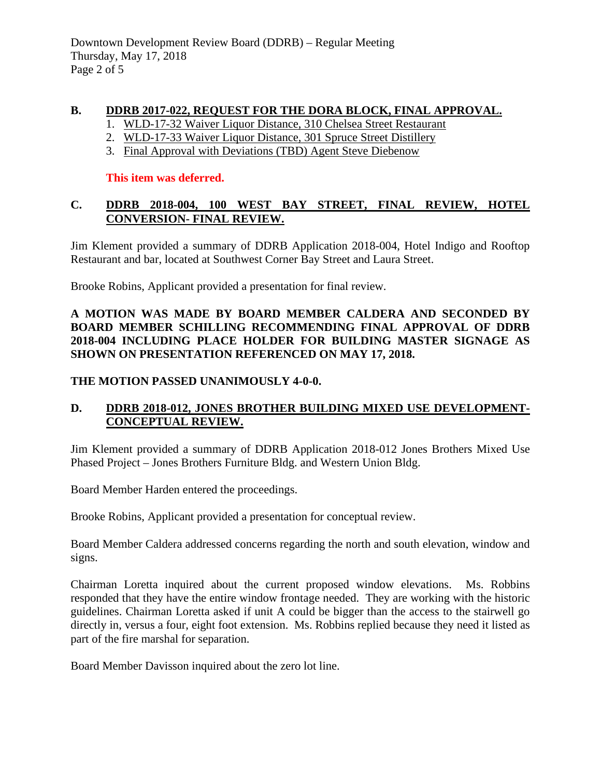## **B. DDRB 2017-022, REQUEST FOR THE DORA BLOCK, FINAL APPROVAL.**

- 1. WLD-17-32 Waiver Liquor Distance, 310 Chelsea Street Restaurant
- 2. WLD-17-33 Waiver Liquor Distance, 301 Spruce Street Distillery
- 3. Final Approval with Deviations (TBD) Agent Steve Diebenow

**This item was deferred.**

# **C. DDRB 2018-004, 100 WEST BAY STREET, FINAL REVIEW, HOTEL CONVERSION- FINAL REVIEW.**

Jim Klement provided a summary of DDRB Application 2018-004, Hotel Indigo and Rooftop Restaurant and bar, located at Southwest Corner Bay Street and Laura Street.

Brooke Robins, Applicant provided a presentation for final review.

**A MOTION WAS MADE BY BOARD MEMBER CALDERA AND SECONDED BY BOARD MEMBER SCHILLING RECOMMENDING FINAL APPROVAL OF DDRB 2018-004 INCLUDING PLACE HOLDER FOR BUILDING MASTER SIGNAGE AS SHOWN ON PRESENTATION REFERENCED ON MAY 17, 2018.** 

# **THE MOTION PASSED UNANIMOUSLY 4-0-0.**

# **D. DDRB 2018-012, JONES BROTHER BUILDING MIXED USE DEVELOPMENT-CONCEPTUAL REVIEW.**

Jim Klement provided a summary of DDRB Application 2018-012 Jones Brothers Mixed Use Phased Project – Jones Brothers Furniture Bldg. and Western Union Bldg.

Board Member Harden entered the proceedings.

Brooke Robins, Applicant provided a presentation for conceptual review.

Board Member Caldera addressed concerns regarding the north and south elevation, window and signs.

Chairman Loretta inquired about the current proposed window elevations. Ms. Robbins responded that they have the entire window frontage needed. They are working with the historic guidelines. Chairman Loretta asked if unit A could be bigger than the access to the stairwell go directly in, versus a four, eight foot extension. Ms. Robbins replied because they need it listed as part of the fire marshal for separation.

Board Member Davisson inquired about the zero lot line.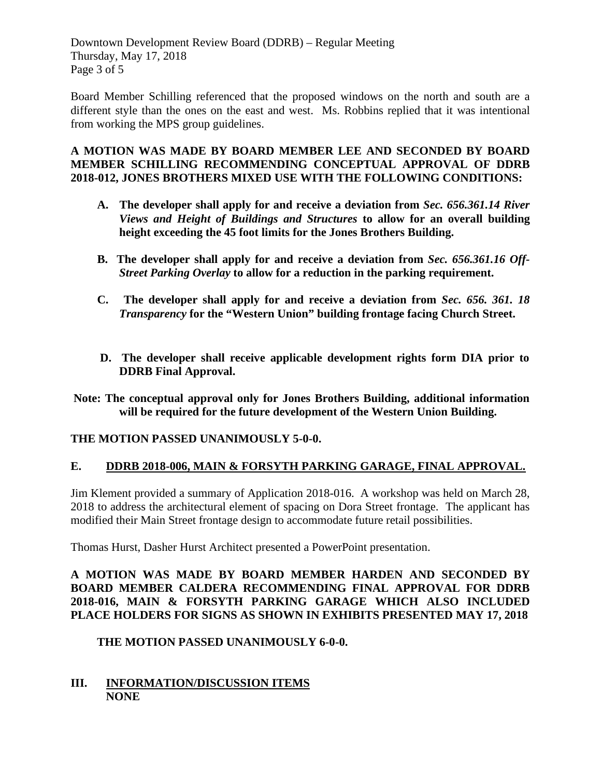Downtown Development Review Board (DDRB) – Regular Meeting Thursday, May 17, 2018 Page 3 of 5

Board Member Schilling referenced that the proposed windows on the north and south are a different style than the ones on the east and west. Ms. Robbins replied that it was intentional from working the MPS group guidelines.

## **A MOTION WAS MADE BY BOARD MEMBER LEE AND SECONDED BY BOARD MEMBER SCHILLING RECOMMENDING CONCEPTUAL APPROVAL OF DDRB 2018-012, JONES BROTHERS MIXED USE WITH THE FOLLOWING CONDITIONS:**

- **A. The developer shall apply for and receive a deviation from** *Sec. 656.361.14 River Views and Height of Buildings and Structures* **to allow for an overall building height exceeding the 45 foot limits for the Jones Brothers Building.**
- **B. The developer shall apply for and receive a deviation from** *Sec. 656.361.16 Off-Street Parking Overlay* **to allow for a reduction in the parking requirement.**
- **C. The developer shall apply for and receive a deviation from** *Sec. 656. 361. 18 Transparency* **for the "Western Union" building frontage facing Church Street.**
- **D. The developer shall receive applicable development rights form DIA prior to DDRB Final Approval.**
- **Note: The conceptual approval only for Jones Brothers Building, additional information will be required for the future development of the Western Union Building.**

## **THE MOTION PASSED UNANIMOUSLY 5-0-0.**

### **E. DDRB 2018-006, MAIN & FORSYTH PARKING GARAGE, FINAL APPROVAL.**

Jim Klement provided a summary of Application 2018-016. A workshop was held on March 28, 2018 to address the architectural element of spacing on Dora Street frontage. The applicant has modified their Main Street frontage design to accommodate future retail possibilities.

Thomas Hurst, Dasher Hurst Architect presented a PowerPoint presentation.

## **A MOTION WAS MADE BY BOARD MEMBER HARDEN AND SECONDED BY BOARD MEMBER CALDERA RECOMMENDING FINAL APPROVAL FOR DDRB 2018-016, MAIN & FORSYTH PARKING GARAGE WHICH ALSO INCLUDED PLACE HOLDERS FOR SIGNS AS SHOWN IN EXHIBITS PRESENTED MAY 17, 2018**

## **THE MOTION PASSED UNANIMOUSLY 6-0-0.**

### **III. INFORMATION/DISCUSSION ITEMS NONE**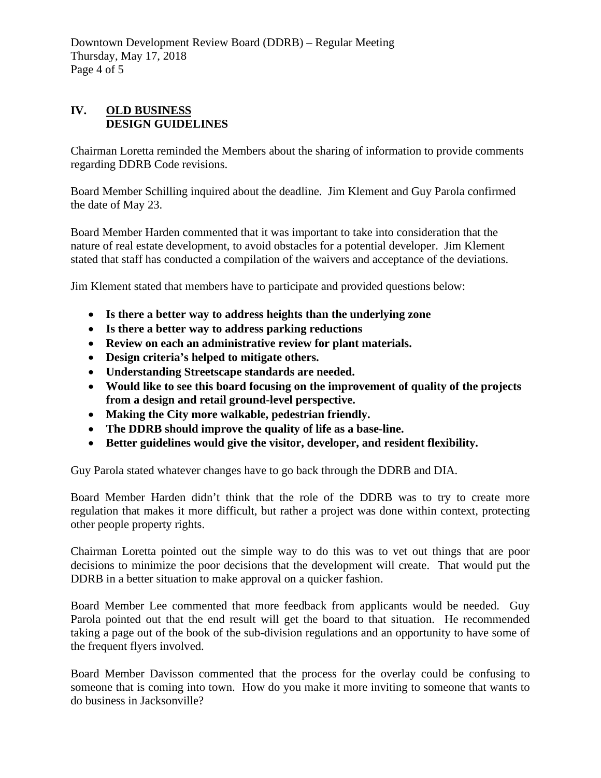Downtown Development Review Board (DDRB) – Regular Meeting Thursday, May 17, 2018 Page 4 of 5

### **IV. OLD BUSINESS DESIGN GUIDELINES**

Chairman Loretta reminded the Members about the sharing of information to provide comments regarding DDRB Code revisions.

Board Member Schilling inquired about the deadline. Jim Klement and Guy Parola confirmed the date of May 23.

Board Member Harden commented that it was important to take into consideration that the nature of real estate development, to avoid obstacles for a potential developer. Jim Klement stated that staff has conducted a compilation of the waivers and acceptance of the deviations.

Jim Klement stated that members have to participate and provided questions below:

- **Is there a better way to address heights than the underlying zone**
- **Is there a better way to address parking reductions**
- **Review on each an administrative review for plant materials.**
- **Design criteria's helped to mitigate others.**
- **Understanding Streetscape standards are needed.**
- **Would like to see this board focusing on the improvement of quality of the projects from a design and retail ground-level perspective.**
- **Making the City more walkable, pedestrian friendly.**
- **The DDRB should improve the quality of life as a base-line.**
- **Better guidelines would give the visitor, developer, and resident flexibility.**

Guy Parola stated whatever changes have to go back through the DDRB and DIA.

Board Member Harden didn't think that the role of the DDRB was to try to create more regulation that makes it more difficult, but rather a project was done within context, protecting other people property rights.

Chairman Loretta pointed out the simple way to do this was to vet out things that are poor decisions to minimize the poor decisions that the development will create. That would put the DDRB in a better situation to make approval on a quicker fashion.

Board Member Lee commented that more feedback from applicants would be needed. Guy Parola pointed out that the end result will get the board to that situation. He recommended taking a page out of the book of the sub-division regulations and an opportunity to have some of the frequent flyers involved.

Board Member Davisson commented that the process for the overlay could be confusing to someone that is coming into town. How do you make it more inviting to someone that wants to do business in Jacksonville?